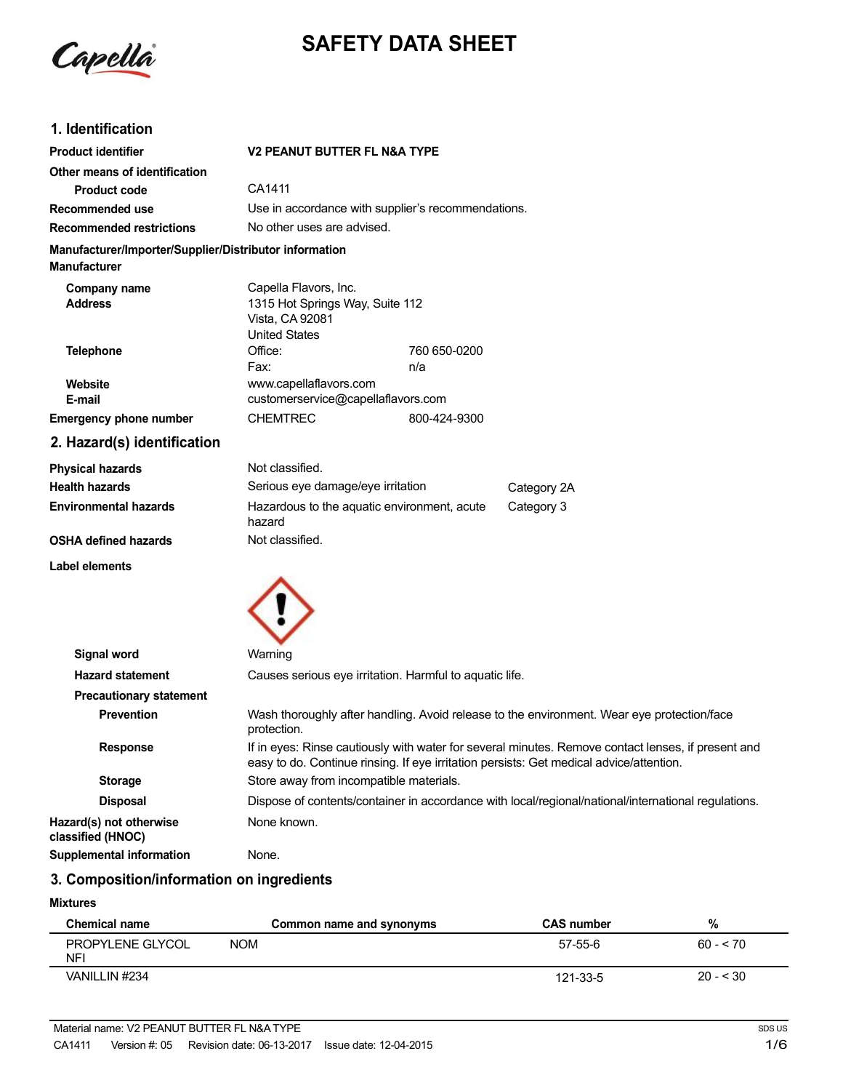

# **SAFETY DATA SHEET**

### **1. Identification**

| <b>Product identifier</b>                              | <b>V2 PEANUT BUTTER FL N&amp;A TYPE</b>                                                                                                                                                       |              |                                                                                                     |
|--------------------------------------------------------|-----------------------------------------------------------------------------------------------------------------------------------------------------------------------------------------------|--------------|-----------------------------------------------------------------------------------------------------|
| Other means of identification                          |                                                                                                                                                                                               |              |                                                                                                     |
| <b>Product code</b>                                    | CA1411                                                                                                                                                                                        |              |                                                                                                     |
| Recommended use                                        | Use in accordance with supplier's recommendations.                                                                                                                                            |              |                                                                                                     |
| <b>Recommended restrictions</b>                        | No other uses are advised.                                                                                                                                                                    |              |                                                                                                     |
| Manufacturer/Importer/Supplier/Distributor information |                                                                                                                                                                                               |              |                                                                                                     |
| <b>Manufacturer</b>                                    |                                                                                                                                                                                               |              |                                                                                                     |
| Company name<br><b>Address</b>                         | Capella Flavors, Inc.<br>1315 Hot Springs Way, Suite 112<br>Vista, CA 92081<br><b>United States</b>                                                                                           |              |                                                                                                     |
| <b>Telephone</b>                                       | Office:                                                                                                                                                                                       | 760 650-0200 |                                                                                                     |
|                                                        | Fax:                                                                                                                                                                                          | n/a          |                                                                                                     |
| Website                                                | www.capellaflavors.com                                                                                                                                                                        |              |                                                                                                     |
| E-mail                                                 | customerservice@capellaflavors.com                                                                                                                                                            |              |                                                                                                     |
| <b>Emergency phone number</b>                          | <b>CHEMTREC</b>                                                                                                                                                                               | 800-424-9300 |                                                                                                     |
| 2. Hazard(s) identification                            |                                                                                                                                                                                               |              |                                                                                                     |
| <b>Physical hazards</b>                                | Not classified.                                                                                                                                                                               |              |                                                                                                     |
| <b>Health hazards</b>                                  | Serious eye damage/eye irritation                                                                                                                                                             |              | Category 2A                                                                                         |
| <b>Environmental hazards</b>                           | Hazardous to the aquatic environment, acute<br>hazard                                                                                                                                         |              | Category 3                                                                                          |
| <b>OSHA defined hazards</b>                            | Not classified.                                                                                                                                                                               |              |                                                                                                     |
| Label elements                                         |                                                                                                                                                                                               |              |                                                                                                     |
| <b>Signal word</b>                                     | Warning                                                                                                                                                                                       |              |                                                                                                     |
| <b>Hazard statement</b>                                | Causes serious eye irritation. Harmful to aquatic life.                                                                                                                                       |              |                                                                                                     |
| <b>Precautionary statement</b>                         |                                                                                                                                                                                               |              |                                                                                                     |
| <b>Prevention</b>                                      | Wash thoroughly after handling. Avoid release to the environment. Wear eye protection/face<br>protection.                                                                                     |              |                                                                                                     |
| <b>Response</b>                                        | If in eyes: Rinse cautiously with water for several minutes. Remove contact lenses, if present and<br>easy to do. Continue rinsing. If eye irritation persists: Get medical advice/attention. |              |                                                                                                     |
| <b>Storage</b>                                         | Store away from incompatible materials.                                                                                                                                                       |              |                                                                                                     |
| <b>Disposal</b>                                        |                                                                                                                                                                                               |              | Dispose of contents/container in accordance with local/regional/national/international regulations. |
| Hazard(s) not otherwise<br>classified (HNOC)           | None known.                                                                                                                                                                                   |              |                                                                                                     |
| <b>Supplemental information</b>                        | None.                                                                                                                                                                                         |              |                                                                                                     |

### **3. Composition/information on ingredients**

#### **Mixtures**

| <b>Chemical name</b>    | Common name and synonyms | <b>CAS number</b> | %         |
|-------------------------|--------------------------|-------------------|-----------|
| PROPYLENE GLYCOL<br>NFI | <b>NOM</b>               | 57-55-6           | $60 - 70$ |
| VANILLIN #234           |                          | 121-33-5          | $20 - 30$ |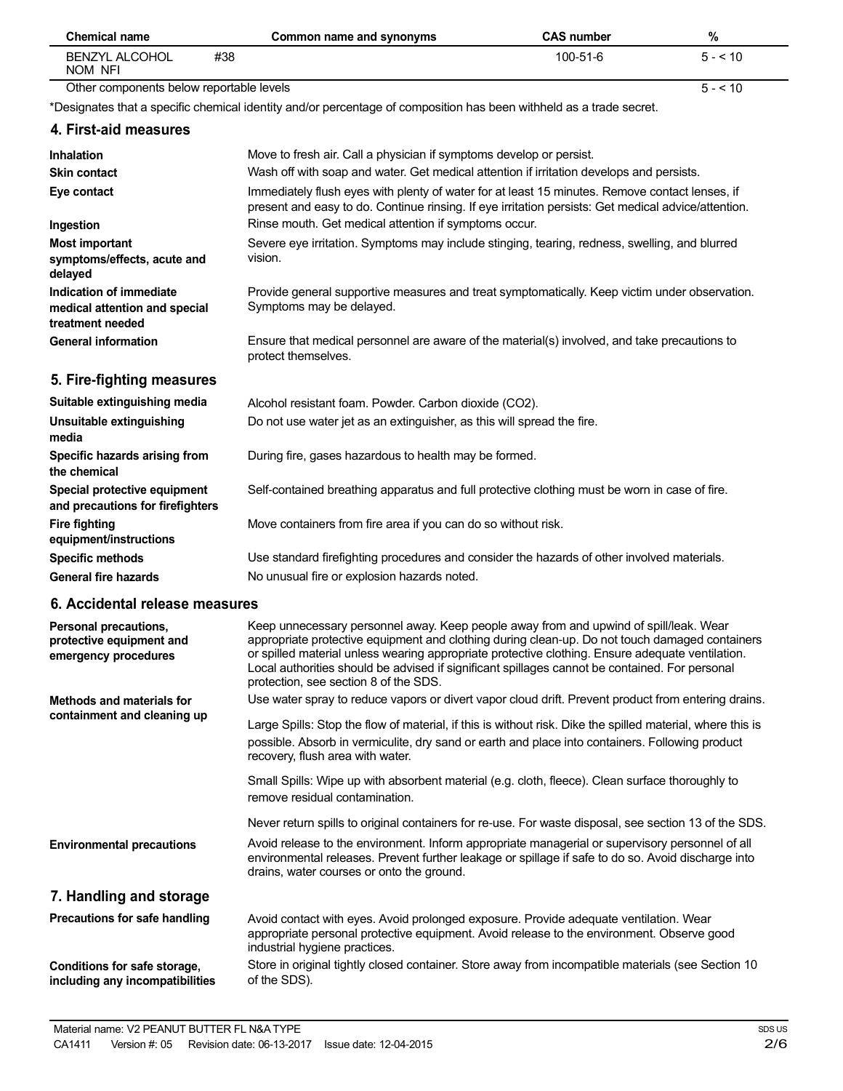| <b>Chemical name</b>                                                         | Common name and synonyms                                                                                                                                                                                                                                                                                                                                                                                                               | <b>CAS number</b> | $\%$     |
|------------------------------------------------------------------------------|----------------------------------------------------------------------------------------------------------------------------------------------------------------------------------------------------------------------------------------------------------------------------------------------------------------------------------------------------------------------------------------------------------------------------------------|-------------------|----------|
| <b>BENZYL ALCOHOL</b><br>NOM NFI                                             | #38                                                                                                                                                                                                                                                                                                                                                                                                                                    | 100-51-6          | $5 - 10$ |
| Other components below reportable levels                                     |                                                                                                                                                                                                                                                                                                                                                                                                                                        |                   | $5 - 10$ |
|                                                                              | *Designates that a specific chemical identity and/or percentage of composition has been withheld as a trade secret.                                                                                                                                                                                                                                                                                                                    |                   |          |
| 4. First-aid measures                                                        |                                                                                                                                                                                                                                                                                                                                                                                                                                        |                   |          |
| <b>Inhalation</b>                                                            | Move to fresh air. Call a physician if symptoms develop or persist.                                                                                                                                                                                                                                                                                                                                                                    |                   |          |
| <b>Skin contact</b>                                                          | Wash off with soap and water. Get medical attention if irritation develops and persists.                                                                                                                                                                                                                                                                                                                                               |                   |          |
| Eye contact                                                                  | Immediately flush eyes with plenty of water for at least 15 minutes. Remove contact lenses, if<br>present and easy to do. Continue rinsing. If eye irritation persists: Get medical advice/attention.                                                                                                                                                                                                                                  |                   |          |
| Ingestion                                                                    | Rinse mouth. Get medical attention if symptoms occur.                                                                                                                                                                                                                                                                                                                                                                                  |                   |          |
| <b>Most important</b><br>symptoms/effects, acute and<br>delayed              | Severe eye irritation. Symptoms may include stinging, tearing, redness, swelling, and blurred<br>vision.                                                                                                                                                                                                                                                                                                                               |                   |          |
| Indication of immediate<br>medical attention and special<br>treatment needed | Provide general supportive measures and treat symptomatically. Keep victim under observation.<br>Symptoms may be delayed.                                                                                                                                                                                                                                                                                                              |                   |          |
| <b>General information</b>                                                   | Ensure that medical personnel are aware of the material(s) involved, and take precautions to<br>protect themselves.                                                                                                                                                                                                                                                                                                                    |                   |          |
| 5. Fire-fighting measures                                                    |                                                                                                                                                                                                                                                                                                                                                                                                                                        |                   |          |
| Suitable extinguishing media                                                 | Alcohol resistant foam. Powder. Carbon dioxide (CO2).                                                                                                                                                                                                                                                                                                                                                                                  |                   |          |
| Unsuitable extinguishing<br>media                                            | Do not use water jet as an extinguisher, as this will spread the fire.                                                                                                                                                                                                                                                                                                                                                                 |                   |          |
| Specific hazards arising from<br>the chemical                                | During fire, gases hazardous to health may be formed.                                                                                                                                                                                                                                                                                                                                                                                  |                   |          |
| Special protective equipment<br>and precautions for firefighters             | Self-contained breathing apparatus and full protective clothing must be worn in case of fire.                                                                                                                                                                                                                                                                                                                                          |                   |          |
| <b>Fire fighting</b><br>equipment/instructions                               | Move containers from fire area if you can do so without risk.                                                                                                                                                                                                                                                                                                                                                                          |                   |          |
| <b>Specific methods</b>                                                      | Use standard firefighting procedures and consider the hazards of other involved materials.                                                                                                                                                                                                                                                                                                                                             |                   |          |
| <b>General fire hazards</b>                                                  | No unusual fire or explosion hazards noted.                                                                                                                                                                                                                                                                                                                                                                                            |                   |          |
| 6. Accidental release measures                                               |                                                                                                                                                                                                                                                                                                                                                                                                                                        |                   |          |
| Personal precautions,<br>protective equipment and<br>emergency procedures    | Keep unnecessary personnel away. Keep people away from and upwind of spill/leak. Wear<br>appropriate protective equipment and clothing during clean-up. Do not touch damaged containers<br>or spilled material unless wearing appropriate protective clothing. Ensure adequate ventilation.<br>Local authorities should be advised if significant spillages cannot be contained. For personal<br>protection, see section 8 of the SDS. |                   |          |
| <b>Methods and materials for</b>                                             | Use water spray to reduce vapors or divert vapor cloud drift. Prevent product from entering drains.                                                                                                                                                                                                                                                                                                                                    |                   |          |
| containment and cleaning up                                                  | Large Spills: Stop the flow of material, if this is without risk. Dike the spilled material, where this is<br>possible. Absorb in vermiculite, dry sand or earth and place into containers. Following product<br>recovery, flush area with water.                                                                                                                                                                                      |                   |          |
|                                                                              | Small Spills: Wipe up with absorbent material (e.g. cloth, fleece). Clean surface thoroughly to<br>remove residual contamination.                                                                                                                                                                                                                                                                                                      |                   |          |
|                                                                              | Never return spills to original containers for re-use. For waste disposal, see section 13 of the SDS.                                                                                                                                                                                                                                                                                                                                  |                   |          |
| <b>Environmental precautions</b>                                             | Avoid release to the environment. Inform appropriate managerial or supervisory personnel of all<br>environmental releases. Prevent further leakage or spillage if safe to do so. Avoid discharge into<br>drains, water courses or onto the ground.                                                                                                                                                                                     |                   |          |

# **7. Handling and storage**

| Precautions for safe handling   | Avoid contact with eyes. Avoid prolonged exposure. Provide adequate ventilation. Wear<br>appropriate personal protective equipment. Avoid release to the environment. Observe good<br>industrial hygiene practices. |
|---------------------------------|---------------------------------------------------------------------------------------------------------------------------------------------------------------------------------------------------------------------|
| Conditions for safe storage,    | Store in original tightly closed container. Store away from incompatible materials (see Section 10                                                                                                                  |
| including any incompatibilities | of the SDS).                                                                                                                                                                                                        |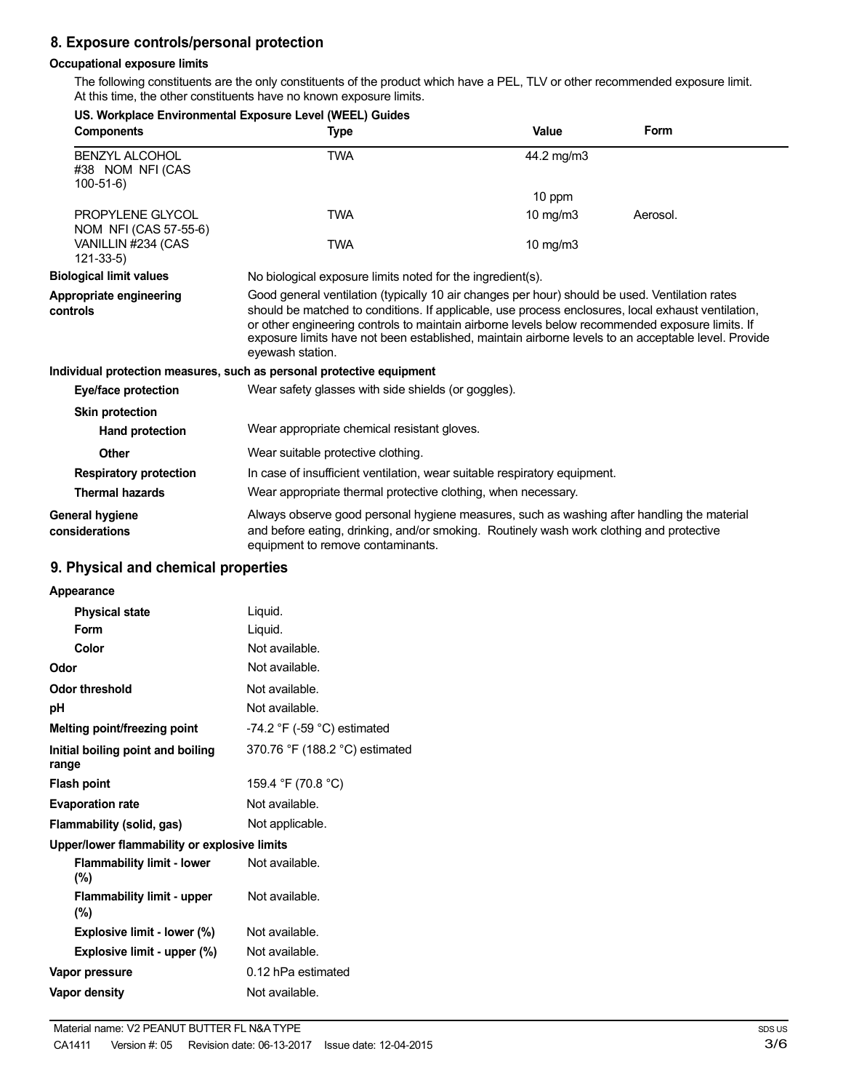# **8. Exposure controls/personal protection**

#### **Occupational exposure limits**

The following constituents are the only constituents of the product which have a PEL, TLV or other recommended exposure limit. At this time, the other constituents have no known exposure limits.

|                                                             | US. Workplace Environmental Exposure Level (WEEL) Guides                                                                                                                                                                                                                                                                                                                                                                           |            |          |
|-------------------------------------------------------------|------------------------------------------------------------------------------------------------------------------------------------------------------------------------------------------------------------------------------------------------------------------------------------------------------------------------------------------------------------------------------------------------------------------------------------|------------|----------|
| <b>Components</b>                                           | Type                                                                                                                                                                                                                                                                                                                                                                                                                               | Value      | Form     |
| <b>BENZYL ALCOHOL</b><br>#38 NOM NFI (CAS<br>$100 - 51 - 6$ | <b>TWA</b>                                                                                                                                                                                                                                                                                                                                                                                                                         | 44.2 mg/m3 |          |
|                                                             |                                                                                                                                                                                                                                                                                                                                                                                                                                    | 10 ppm     |          |
| PROPYLENE GLYCOL<br>NOM NFI (CAS 57-55-6)                   | <b>TWA</b>                                                                                                                                                                                                                                                                                                                                                                                                                         | 10 $mg/m3$ | Aerosol. |
| VANILLIN #234 (CAS<br>$121 - 33 - 5$                        | <b>TWA</b>                                                                                                                                                                                                                                                                                                                                                                                                                         | 10 $mg/m3$ |          |
| <b>Biological limit values</b>                              | No biological exposure limits noted for the ingredient(s).                                                                                                                                                                                                                                                                                                                                                                         |            |          |
| Appropriate engineering<br>controls                         | Good general ventilation (typically 10 air changes per hour) should be used. Ventilation rates<br>should be matched to conditions. If applicable, use process enclosures, local exhaust ventilation,<br>or other engineering controls to maintain airborne levels below recommended exposure limits. If<br>exposure limits have not been established, maintain airborne levels to an acceptable level. Provide<br>eyewash station. |            |          |
|                                                             | Individual protection measures, such as personal protective equipment                                                                                                                                                                                                                                                                                                                                                              |            |          |
| Eye/face protection                                         | Wear safety glasses with side shields (or goggles).                                                                                                                                                                                                                                                                                                                                                                                |            |          |
| <b>Skin protection</b>                                      |                                                                                                                                                                                                                                                                                                                                                                                                                                    |            |          |
| <b>Hand protection</b>                                      | Wear appropriate chemical resistant gloves.                                                                                                                                                                                                                                                                                                                                                                                        |            |          |
| <b>Other</b>                                                | Wear suitable protective clothing.                                                                                                                                                                                                                                                                                                                                                                                                 |            |          |
| <b>Respiratory protection</b>                               | In case of insufficient ventilation, wear suitable respiratory equipment.                                                                                                                                                                                                                                                                                                                                                          |            |          |
| <b>Thermal hazards</b>                                      | Wear appropriate thermal protective clothing, when necessary.                                                                                                                                                                                                                                                                                                                                                                      |            |          |
| <b>General hygiene</b><br>considerations                    | Always observe good personal hygiene measures, such as washing after handling the material<br>and before eating, drinking, and/or smoking. Routinely wash work clothing and protective<br>equipment to remove contaminants.                                                                                                                                                                                                        |            |          |
|                                                             |                                                                                                                                                                                                                                                                                                                                                                                                                                    |            |          |

### **9. Physical and chemical properties**

| Appearance                                   |                                               |
|----------------------------------------------|-----------------------------------------------|
| <b>Physical state</b>                        | Liquid.                                       |
| Form                                         | Liquid.                                       |
| Color                                        | Not available.                                |
| Odor                                         | Not available.                                |
| Odor threshold                               | Not available.                                |
| рH                                           | Not available.                                |
| Melting point/freezing point                 | -74.2 $\degree$ F (-59 $\degree$ C) estimated |
| Initial boiling point and boiling<br>range   | 370.76 °F (188.2 °C) estimated                |
| Flash point                                  | 159.4 °F (70.8 °C)                            |
| <b>Evaporation rate</b>                      | Not available.                                |
| Flammability (solid, gas)                    | Not applicable.                               |
| Upper/lower flammability or explosive limits |                                               |
| <b>Flammability limit - lower</b><br>$(\% )$ | Not available.                                |
| <b>Flammability limit - upper</b><br>$(\% )$ | Not available.                                |
| <b>Explosive limit - lower (%)</b>           | Not available.                                |
| Explosive limit - upper (%)                  | Not available.                                |
| Vapor pressure                               | 0.12 hPa estimated                            |
| Vapor density                                | Not available.                                |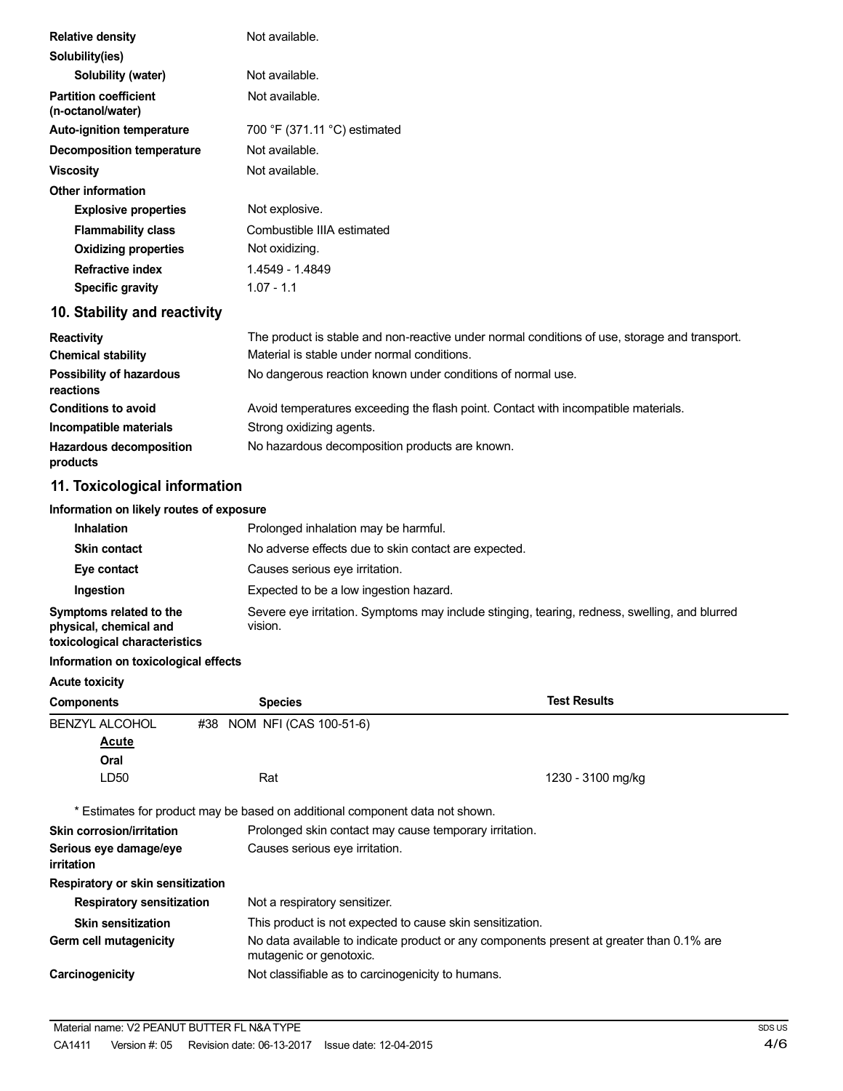| <b>Relative density</b>                           | Not available.                                                                                |
|---------------------------------------------------|-----------------------------------------------------------------------------------------------|
| Solubility(ies)                                   |                                                                                               |
| Solubility (water)                                | Not available.                                                                                |
| <b>Partition coefficient</b><br>(n-octanol/water) | Not available.                                                                                |
| <b>Auto-ignition temperature</b>                  | 700 °F (371.11 °C) estimated                                                                  |
| <b>Decomposition temperature</b>                  | Not available.                                                                                |
| <b>Viscosity</b>                                  | Not available.                                                                                |
| <b>Other information</b>                          |                                                                                               |
| <b>Explosive properties</b>                       | Not explosive.                                                                                |
| <b>Flammability class</b>                         | Combustible IIIA estimated                                                                    |
| <b>Oxidizing properties</b>                       | Not oxidizing.                                                                                |
| <b>Refractive index</b>                           | 1.4549 - 1.4849                                                                               |
| <b>Specific gravity</b>                           | $1.07 - 1.1$                                                                                  |
| 10. Stability and reactivity                      |                                                                                               |
| <b>Reactivity</b>                                 | The product is stable and non-reactive under normal conditions of use, storage and transport. |
| <b>Chemical stability</b>                         | Material is stable under normal conditions.                                                   |
| Possibility of hazardous<br>reactions             | No dangerous reaction known under conditions of normal use.                                   |
| <b>Conditions to avoid</b>                        | Avoid temperatures exceeding the flash point. Contact with incompatible materials.            |
| Incompatible materials                            | Strong oxidizing agents.                                                                      |
| <b>Hazardous decomposition</b>                    | No hazardous decomposition products are known.                                                |

# **11. Toxicological information**

#### **Information on likely routes of exposure**

| <b>Inhalation</b>                                                                  | Prolonged inhalation may be harmful.                                                                     |
|------------------------------------------------------------------------------------|----------------------------------------------------------------------------------------------------------|
| <b>Skin contact</b>                                                                | No adverse effects due to skin contact are expected.                                                     |
| Eye contact                                                                        | Causes serious eye irritation.                                                                           |
| <b>Ingestion</b>                                                                   | Expected to be a low ingestion hazard.                                                                   |
| Symptoms related to the<br>physical, chemical and<br>toxicological characteristics | Severe eye irritation. Symptoms may include stinging, tearing, redness, swelling, and blurred<br>vision. |

#### **Information on toxicological effects**

#### **Acute toxicity**

**products**

| <b>Components</b>                    | <b>Species</b>                                                               | <b>Test Results</b>                                                                      |  |
|--------------------------------------|------------------------------------------------------------------------------|------------------------------------------------------------------------------------------|--|
| <b>BENZYL ALCOHOL</b>                | NOM NFI (CAS 100-51-6)<br>#38                                                |                                                                                          |  |
| <b>Acute</b>                         |                                                                              |                                                                                          |  |
| Oral                                 |                                                                              |                                                                                          |  |
| LD50                                 | Rat                                                                          | 1230 - 3100 mg/kg                                                                        |  |
|                                      | * Estimates for product may be based on additional component data not shown. |                                                                                          |  |
| <b>Skin corrosion/irritation</b>     |                                                                              | Prolonged skin contact may cause temporary irritation.                                   |  |
| Serious eye damage/eye<br>irritation |                                                                              | Causes serious eye irritation.                                                           |  |
| Respiratory or skin sensitization    |                                                                              |                                                                                          |  |
| <b>Respiratory sensitization</b>     | Not a respiratory sensitizer.                                                |                                                                                          |  |
| <b>Skin sensitization</b>            |                                                                              | This product is not expected to cause skin sensitization.                                |  |
| Germ cell mutagenicity               | mutagenic or genotoxic.                                                      | No data available to indicate product or any components present at greater than 0.1% are |  |
| Carcinogenicity                      | Not classifiable as to carcinogenicity to humans.                            |                                                                                          |  |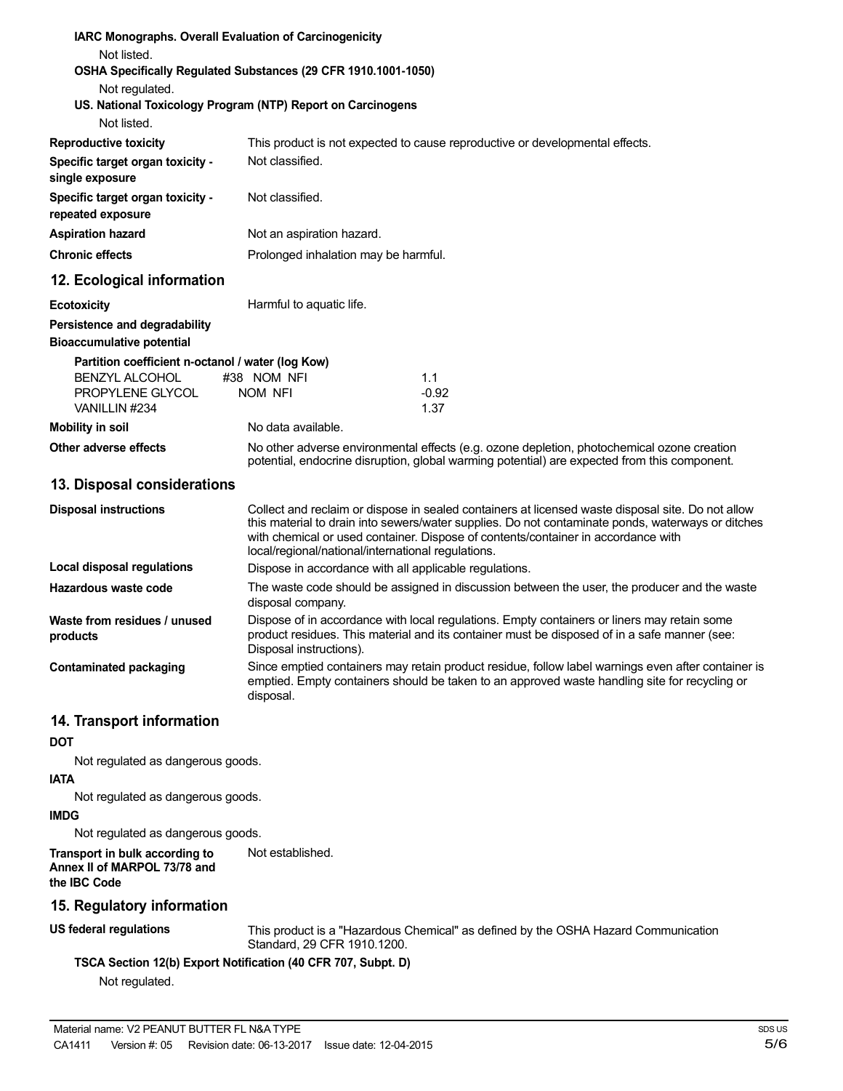| <b>IARC Monographs. Overall Evaluation of Carcinogenicity</b>              |                                      |                                                                                                                                                                                                                                                                                                                                                   |  |
|----------------------------------------------------------------------------|--------------------------------------|---------------------------------------------------------------------------------------------------------------------------------------------------------------------------------------------------------------------------------------------------------------------------------------------------------------------------------------------------|--|
| Not listed.                                                                |                                      |                                                                                                                                                                                                                                                                                                                                                   |  |
| OSHA Specifically Regulated Substances (29 CFR 1910.1001-1050)             |                                      |                                                                                                                                                                                                                                                                                                                                                   |  |
| Not regulated.                                                             |                                      |                                                                                                                                                                                                                                                                                                                                                   |  |
| US. National Toxicology Program (NTP) Report on Carcinogens<br>Not listed. |                                      |                                                                                                                                                                                                                                                                                                                                                   |  |
| <b>Reproductive toxicity</b>                                               |                                      |                                                                                                                                                                                                                                                                                                                                                   |  |
|                                                                            | Not classified.                      | This product is not expected to cause reproductive or developmental effects.                                                                                                                                                                                                                                                                      |  |
| Specific target organ toxicity -<br>single exposure                        |                                      |                                                                                                                                                                                                                                                                                                                                                   |  |
| Specific target organ toxicity -<br>repeated exposure                      | Not classified.                      |                                                                                                                                                                                                                                                                                                                                                   |  |
| <b>Aspiration hazard</b>                                                   | Not an aspiration hazard.            |                                                                                                                                                                                                                                                                                                                                                   |  |
| <b>Chronic effects</b>                                                     | Prolonged inhalation may be harmful. |                                                                                                                                                                                                                                                                                                                                                   |  |
| 12. Ecological information                                                 |                                      |                                                                                                                                                                                                                                                                                                                                                   |  |
| <b>Ecotoxicity</b>                                                         | Harmful to aquatic life.             |                                                                                                                                                                                                                                                                                                                                                   |  |
| Persistence and degradability                                              |                                      |                                                                                                                                                                                                                                                                                                                                                   |  |
| <b>Bioaccumulative potential</b>                                           |                                      |                                                                                                                                                                                                                                                                                                                                                   |  |
| Partition coefficient n-octanol / water (log Kow)                          |                                      |                                                                                                                                                                                                                                                                                                                                                   |  |
| <b>BENZYL ALCOHOL</b>                                                      | #38 NOM NFI                          | 1.1                                                                                                                                                                                                                                                                                                                                               |  |
| PROPYLENE GLYCOL<br>VANILLIN #234                                          | NOM NFI                              | $-0.92$<br>1.37                                                                                                                                                                                                                                                                                                                                   |  |
| <b>Mobility in soil</b>                                                    | No data available.                   |                                                                                                                                                                                                                                                                                                                                                   |  |
| Other adverse effects                                                      |                                      | No other adverse environmental effects (e.g. ozone depletion, photochemical ozone creation                                                                                                                                                                                                                                                        |  |
|                                                                            |                                      | potential, endocrine disruption, global warming potential) are expected from this component.                                                                                                                                                                                                                                                      |  |
| 13. Disposal considerations                                                |                                      |                                                                                                                                                                                                                                                                                                                                                   |  |
| <b>Disposal instructions</b>                                               |                                      | Collect and reclaim or dispose in sealed containers at licensed waste disposal site. Do not allow<br>this material to drain into sewers/water supplies. Do not contaminate ponds, waterways or ditches<br>with chemical or used container. Dispose of contents/container in accordance with<br>local/regional/national/international regulations. |  |
| Local disposal regulations                                                 |                                      | Dispose in accordance with all applicable regulations.                                                                                                                                                                                                                                                                                            |  |
| Hazardous waste code                                                       | disposal company.                    | The waste code should be assigned in discussion between the user, the producer and the waste                                                                                                                                                                                                                                                      |  |
| Waste from residues / unused<br>products                                   | Disposal instructions).              | Dispose of in accordance with local regulations. Empty containers or liners may retain some<br>product residues. This material and its container must be disposed of in a safe manner (see:                                                                                                                                                       |  |
| <b>Contaminated packaging</b>                                              |                                      | Since emptied containers may retain product residue, follow label warnings even after container is<br>emptied. Empty containers should be taken to an approved waste handling site for recycling or                                                                                                                                               |  |

#### **14. Transport information**

**DOT**

Not regulated as dangerous goods.

#### **IATA**

Not regulated as dangerous goods.

#### **IMDG**

Not regulated as dangerous goods.

**Transport in bulk according to Annex II of MARPOL 73/78 and the IBC Code**

#### **15. Regulatory information**

#### **US federal regulations**

This product is a "Hazardous Chemical" as defined by the OSHA Hazard Communication Standard, 29 CFR 1910.1200.

### **TSCA Section 12(b) Export Notification (40 CFR 707, Subpt. D)**

disposal.

Not established.

Not regulated.